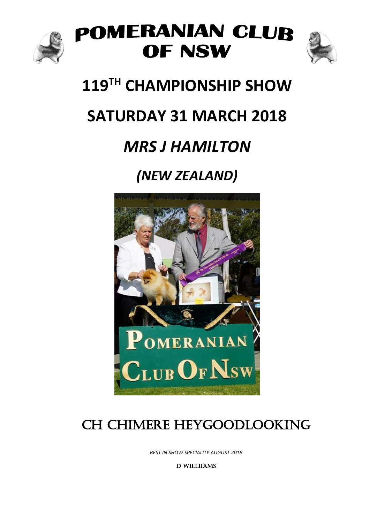

### POMERANIAN CLUB OF NSW



### **119 TH CHAMPIONSHIP SHOW**

### **SATURDAY 31 MARCH 2018**

### *MRS J HAMILTON*

### *(NEW ZEALAND)*



### CH CHIMERE HEYGOODLOOKING

*BEST IN SHOW SPECIALITY AUGUST 2018*

D WILLIIAMS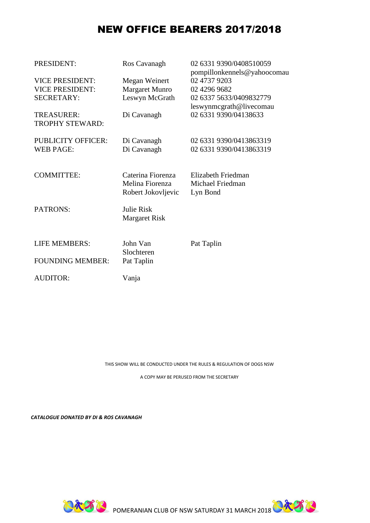#### NEW OFFICE BEARERS 2017/2018

| PRESIDENT:                                  | Ros Cavanagh                                               | 02 6331 9390/0408510059<br>pompillonkennels@yahoocomau |
|---------------------------------------------|------------------------------------------------------------|--------------------------------------------------------|
| <b>VICE PRESIDENT:</b>                      | Megan Weinert                                              | 02 4737 9203                                           |
| <b>VICE PRESIDENT:</b>                      | <b>Margaret Munro</b>                                      | 02 4296 9682                                           |
| <b>SECRETARY:</b>                           | Leswyn McGrath                                             | 02 6337 5633/0409832779                                |
|                                             |                                                            | leswynmcgrath@livecomau                                |
| <b>TREASURER:</b><br><b>TROPHY STEWARD:</b> | Di Cavanagh                                                | 02 6331 9390/04138633                                  |
| <b>PUBLICITY OFFICER:</b>                   | Di Cavanagh                                                | 02 6331 9390/0413863319                                |
| <b>WEB PAGE:</b>                            | Di Cavanagh                                                | 02 6331 9390/0413863319                                |
| <b>COMMITTEE:</b>                           | Caterina Fiorenza<br>Melina Fiorenza<br>Robert Jokovljevic | Elizabeth Friedman<br>Michael Friedman<br>Lyn Bond     |
| PATRONS:                                    | <b>Julie Risk</b><br><b>Margaret Risk</b>                  |                                                        |
| <b>LIFE MEMBERS:</b>                        | John Van<br>Slochteren                                     | Pat Taplin                                             |
| <b>FOUNDING MEMBER:</b>                     | Pat Taplin                                                 |                                                        |
| <b>AUDITOR:</b>                             | Vanja                                                      |                                                        |

THIS SHOW WILL BE CONDUCTED UNDER THE RULES & REGULATION OF DOGS NSW

A COPY MAY BE PERUSED FROM THE SECRETARY

*CATALOGUE DONATED BY DI & ROS CAVANAGH*



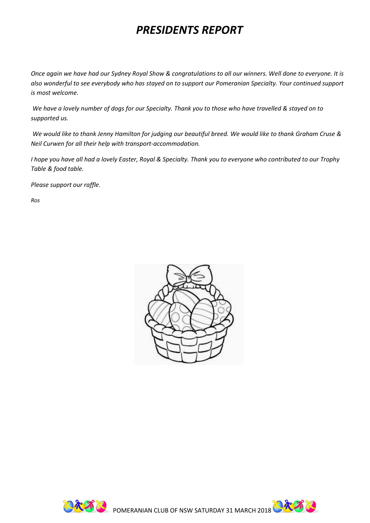### *PRESIDENTS REPORT*

*Once again we have had our Sydney Royal Show & congratulations to all our winners. Well done to everyone. It is also wonderful to see everybody who has stayed on to support our Pomeranian Specialty. Your continued support is most welcome.*

*We have a lovely number of dogs for our Specialty. Thank you to those who have travelled & stayed on to supported us.*

*We would like to thank Jenny Hamilton for judging our beautiful breed. We would like to thank Graham Cruse & Neil Curwen for all their help with transport-accommodation.*

*I hope you have all had a lovely Easter, Royal & Specialty. Thank you to everyone who contributed to our Trophy Table & food table.*

*Please support our raffle.*

*Ros*





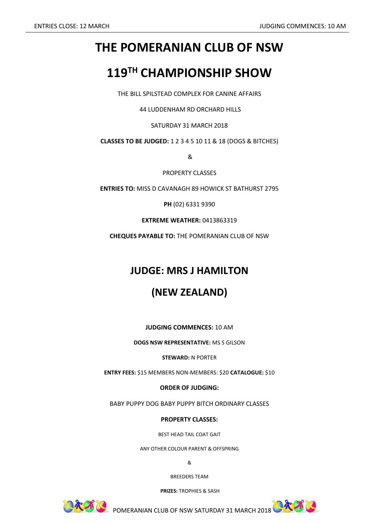### **THE POMERANIAN CLUB OF NSW**

### **119 TH CHAMPIONSHIP SHOW**

THE BILL SPILSTEAD COMPLEX FOR CANINE AFFAIRS

44 LUDDENHAM RD ORCHARD HILLS

SATURDAY 31 MARCH 2018

**CLASSES TO BE JUDGED:** 1 2 3 4 5 10 11 & 18 (DOGS & BITCHES)

&

PROPERTY CLASSES

**ENTRIES TO:** MISS D CAVANAGH 89 HOWICK ST BATHURST 2795

**PH** (02) 6331 9390

**EXTREME WEATHER:** 0413863319

**CHEQUES PAYABLE TO:** THE POMERANIAN CLUB OF NSW

#### **JUDGE: MRS J HAMILTON**

#### **(NEW ZEALAND)**

**JUDGING COMMENCES:** 10 AM

**DOGS NSW REPRESENTATIVE:** MS S GILSON

**STEWARD:** N PORTER

**ENTRY FEES:** \$15 MEMBERS NON-MEMBERS: \$20 **CATALOGUE:** \$10

**ORDER OF JUDGING:**

BABY PUPPY DOG BABY PUPPY BITCH ORDINARY CLASSES

**PROPERTY CLASSES:**

BEST HEAD TAIL COAT GAIT

ANY OTHER COLOUR PARENT & OFFSPRING

&

BREEDERS TEAM

**PRIZES:** TROPHIES & SASH



**PAA BURGARY SATURDAY 31 MARCH 2018 CAA BURGARY 31 MARCH 2018** 

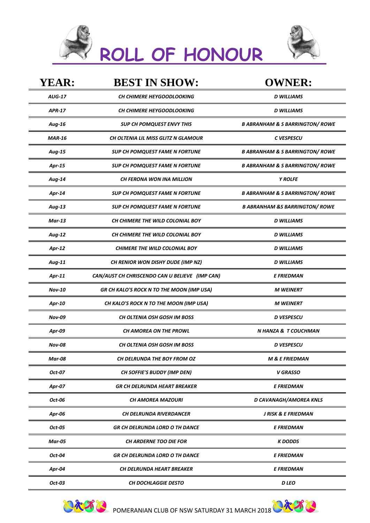



| <b>YEAR:</b>  | <b>BEST IN SHOW:</b>                           | <b>OWNER:</b>                              |
|---------------|------------------------------------------------|--------------------------------------------|
| <b>AUG-17</b> | CH CHIMERE HEYGOODLOOKING                      | <b>D WILLIAMS</b>                          |
| <b>APR-17</b> | <b>CH CHIMERE HEYGOODLOOKING</b>               | <b>D WILLIAMS</b>                          |
| Aug-16        | <b>SUP CH POMQUEST ENVY THIS</b>               | <b>B ABRANHAM &amp; S BARRINGTON/ ROWE</b> |
| <b>MAR-16</b> | <b>CH OLTENIA LIL MISS GLITZ N GLAMOUR</b>     | C VESPESCU                                 |
| Aug-15        | <b>SUP CH POMQUEST FAME N FORTUNE</b>          | <b>B ABRANHAM &amp; S BARRINGTON/ ROWE</b> |
| Apr-15        | SUP CH POMQUEST FAME N FORTUNE                 | <b>B ABRANHAM &amp; S BARRINGTON/ ROWE</b> |
| Aug-14        | <b>CH FERONA WON INA MILLION</b>               | <b>Y ROLFE</b>                             |
| Apr-14        | <b>SUP CH POMQUEST FAME N FORTUNE</b>          | <b>B ABRANHAM &amp; S BARRINGTON/ ROWE</b> |
| Aug-13        | <b>SUP CH POMQUEST FAME N FORTUNE</b>          | <b>B ABRANHAM &amp;S BARRINGTON/ ROWE</b>  |
| <b>Mar-13</b> | CH CHIMERE THE WILD COLONIAL BOY               | <b>D WILLIAMS</b>                          |
| Aug-12        | CH CHIMERE THE WILD COLONIAL BOY               | <b>D WILLIAMS</b>                          |
| Apr-12        | <b>CHIMERE THE WILD COLONIAL BOY</b>           | <b>D WILLIAMS</b>                          |
| Aug-11        | CH RENIOR WON DISHY DUDE (IMP NZ)              | <b>D WILLIAMS</b>                          |
| Apr-11        | CAN/AUST CH CHRISCENDO CAN U BELIEVE (IMP CAN) | <b>E FRIEDMAN</b>                          |
| <b>Nov-10</b> | GR CH KALO'S ROCK N TO THE MOON (IMP USA)      | <b>M WEINERT</b>                           |
| Apr-10        | CH KALO'S ROCK N TO THE MOON (IMP USA)         | <b>M WEINERT</b>                           |
| <b>Nov-09</b> | <b>CH OLTENIA OSH GOSH IM BOSS</b>             | <b>D</b> VESPESCU                          |
| Apr-09        | CH AMOREA ON THE PROWL                         | N HANZA & T COUCHMAN                       |
| <b>Nov-08</b> | <b>CH OLTENIA OSH GOSH IM BOSS</b>             | <b>D VESPESCU</b>                          |
| <b>Mar-08</b> | CH DELRUNDA THE BOY FROM OZ                    | <b>M &amp; E FRIEDMAN</b>                  |
| Oct-07        | CH SOFFIE'S BUDDY (IMP DEN)                    | <b>V GRASSO</b>                            |
| Apr-07        | <b>GR CH DELRUNDA HEART BREAKER</b>            | <b>E FRIEDMAN</b>                          |
| Oct-06        | CH AMOREA MAZOURI                              | D CAVANAGH/AMOREA KNLS                     |
| Apr-06        | CH DELRUNDA RIVERDANCER                        | J RISK & E FRIEDMAN                        |
| Oct-05        | <b>GR CH DELRUNDA LORD O TH DANCE</b>          | <b>E FRIEDMAN</b>                          |
| <b>Mar-05</b> | CH ARDERNE TOO DIE FOR                         | <b>K</b> DODDS                             |
| Oct-04        | <b>GR CH DELRUNDA LORD O TH DANCE</b>          | <b>E FRIEDMAN</b>                          |
| Apr-04        | CH DELRUNDA HEART BREAKER                      | <b>E FRIEDMAN</b>                          |
| Oct-03        | <b>CH DOCHLAGGIE DESTO</b>                     | D LEO                                      |



**PART B**POMERANIAN CLUB OF NSW SATURDAY 31 MARCH 2018 **PART B**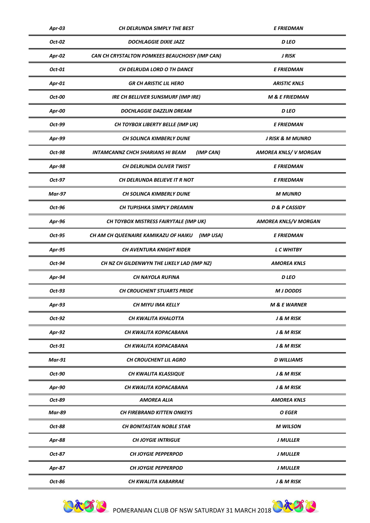| Apr-03        | CH DELRUNDA SIMPLY THE BEST                          | <b>E FRIEDMAN</b>            |
|---------------|------------------------------------------------------|------------------------------|
| Oct-02        | <b>DOCHLAGGIE DIXIE JAZZ</b>                         | <b>D</b> LEO                 |
| Apr-02        | CAN CH CRYSTALTON POMKEES BEAUCHOISY (IMP CAN)       | J RISK                       |
| Oct-01        | CH DELRUDA LORD O TH DANCE                           | <b>E FRIEDMAN</b>            |
| Apr-01        | <b>GR CH ARISTIC LIL HERO</b>                        | <b>ARISTIC KNLS</b>          |
| Oct-00        | <b>IRE CH BELLIVER SUNSMURF (IMP IRE)</b>            | <b>M &amp; E FRIEDMAN</b>    |
| Apr-00        | <b>DOCHLAGGIE DAZZLIN DREAM</b>                      | D LEO                        |
| Oct-99        | CH TOYBOX LIBERTY BELLE (IMP UK)                     | <b>E FRIEDMAN</b>            |
| Apr-99        | CH SOLINCA KIMBERLY DUNE                             | <b>J RISK &amp; M MUNRO</b>  |
| Oct-98        | (IMP CAN)<br><b>INTAMCANNZ CHCH SHARIANS HI BEAM</b> | <b>AMOREA KNLS/ V MORGAN</b> |
| Apr-98        | CH DELRUNDA OLIVER TWIST                             | <b>E FRIEDMAN</b>            |
| Oct-97        | CH DELRUNDA BELIEVE IT R NOT                         | <b>E FRIEDMAN</b>            |
| <b>Mar-97</b> | CH SOLINCA KIMBERLY DUNE                             | <b>M MUNRO</b>               |
| Oct-96        | CH TUPISHKA SIMPLY DREAMIN                           | <b>D &amp; P CASSIDY</b>     |
| Apr-96        | CH TOYBOX MISTRESS FAIRYTALE (IMP UK)                | <b>AMOREA KNLS/V MORGAN</b>  |
| Oct-95        | CH AM CH QUEENAIRE KAMIKAZU OF HAIKU<br>(IMP USA)    | <b>E FRIEDMAN</b>            |
| Apr-95        | <b>CH AVENTURA KNIGHT RIDER</b>                      | <b>L C WHITBY</b>            |
| Oct-94        | CH NZ CH GILDENWYN THE LIKELY LAD (IMP NZ)           | <b>AMOREA KNLS</b>           |
| Apr-94        | CH NAYOLA RUFINA                                     | <b>D</b> LEO                 |
| Oct-93        | <b>CH CROUCHENT STUARTS PRIDE</b>                    | <b>M J DODDS</b>             |
| Apr-93        | CH MIYU IMA KELLY                                    | <b>M &amp; E WARNER</b>      |
| Oct-92        | CH KWALITA KHALOTTA                                  | J & M RISK                   |
| Apr-92        | CH KWALITA KOPACABANA                                | J & M RISK                   |
| Oct-91        | CH KWALITA KOPACABANA                                | J & M RISK                   |
| <b>Mar-91</b> | <b>CH CROUCHENT LIL AGRO</b>                         | <b>D</b> WILLIAMS            |
| Oct-90        | <b>CH KWALITA KLASSIQUE</b>                          | J & M RISK                   |
| Apr-90        | CH KWALITA KOPACABANA                                | J & M RISK                   |
| Oct-89        | <b>AMOREA ALIA</b>                                   | <b>AMOREA KNLS</b>           |
| <b>Mar-89</b> | CH FIREBRAND KITTEN ONKEYS                           | O EGER                       |
| Oct-88        | <b>CH BONITASTAN NOBLE STAR</b>                      | <b>M</b> WILSON              |
| Apr-88        | <b>CH JOYGIE INTRIGUE</b>                            | <b>J MULLER</b>              |
| Oct-87        | <b>CH JOYGIE PEPPERPOD</b>                           | <b>J MULLER</b>              |
| Apr-87        | <b>CH JOYGIE PEPPERPOD</b>                           | <b>J MULLER</b>              |
| Oct-86        | CH KWALITA KABARRAE                                  | J & M RISK                   |



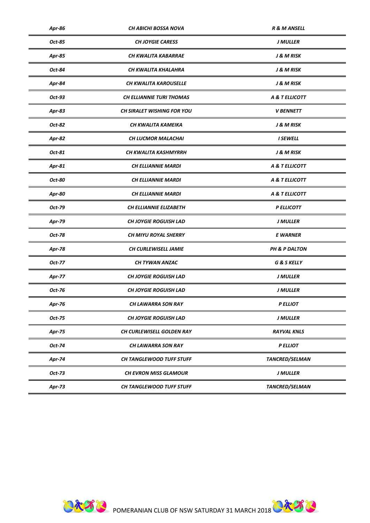| Apr-86        | CH ABICHI BOSSA NOVA            | <b>R &amp; M ANSELL</b> |
|---------------|---------------------------------|-------------------------|
| Oct-85        | <b>CH JOYGIE CARESS</b>         | <b>J MULLER</b>         |
| Apr-85        | CH KWALITA KABARRAE             | J & M RISK              |
| Oct-84        | CH KWALITA KHALAHRA             | J & M RISK              |
| Apr-84        | CH KWALITA KAROUSELLE           | J & M RISK              |
| Oct-93        | <b>CH ELLIANNIE TURI THOMAS</b> | A & T ELLICOTT          |
| Apr-83        | CH SIRALET WISHING FOR YOU      | <b>V BENNETT</b>        |
| Oct-82        | CH KWALITA KAMEIKA              | J & M RISK              |
| Apr-82        | <b>CH LUCMOR MALACHAI</b>       | <b>I SEWELL</b>         |
| Oct-81        | CH KWALITA KASHMYRRH            | J & M RISK              |
| Apr-81        | <b>CH ELLIANNIE MARDI</b>       | A & T ELLICOTT          |
| Oct-80        | <b>CH ELLIANNIE MARDI</b>       | A & T ELLICOTT          |
| Apr-80        | <b>CH ELLIANNIE MARDI</b>       | A & T ELLICOTT          |
| Oct-79        | CH ELLIANNIE ELIZABETH          | P ELLICOTT              |
| Apr-79        | <b>CH JOYGIE ROGUISH LAD</b>    | <b>J MULLER</b>         |
| Oct-78        | <b>CH MIYU ROYAL SHERRY</b>     | <b>E WARNER</b>         |
| Apr-78        | CH CURLEWISELL JAMIE            | PH & P DALTON           |
| Oct-77        | CH TYWAN ANZAC                  | <b>G &amp; S KELLY</b>  |
| Apr-77        | <b>CH JOYGIE ROGUISH LAD</b>    | J MULLER                |
| Oct-76        | <b>CH JOYGIE ROGUISH LAD</b>    | J MULLER                |
| Apr-76        | CH LAWARRA SON RAY              | <b>P ELLIOT</b>         |
| Oct-75        | <b>CH JOYGIE ROGUISH LAD</b>    | <b>J MULLER</b>         |
| <b>Apr-75</b> | CH CURLEWISELL GOLDEN RAY       | <b>RAYVAL KNLS</b>      |
| Oct-74        | CH LAWARRA SON RAY              | <b>P ELLIOT</b>         |
| Apr-74        | <b>CH TANGLEWOOD TUFF STUFF</b> | TANCRED/SELMAN          |
| Oct-73        | <b>CH EVRON MISS GLAMOUR</b>    | J MULLER                |
| Apr-73        | CH TANGLEWOOD TUFF STUFF        | TANCRED/SELMAN          |

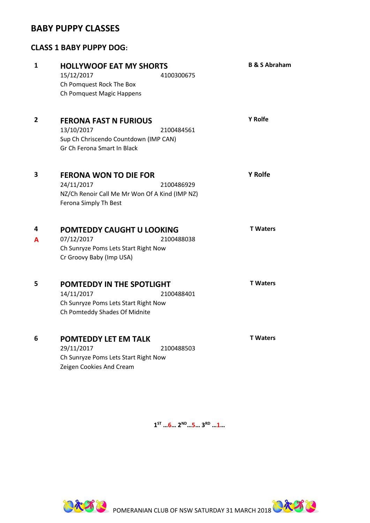#### **BABY PUPPY CLASSES**

#### **CLASS 1 BABY PUPPY DOG:**

| $\mathbf{1}$ | <b>HOLLYWOOF EAT MY SHORTS</b><br>15/12/2017<br>4100300675<br>Ch Pomquest Rock The Box<br>Ch Pomquest Magic Happens                 | <b>B &amp; S Abraham</b> |
|--------------|-------------------------------------------------------------------------------------------------------------------------------------|--------------------------|
| 2            | <b>FERONA FAST N FURIOUS</b><br>13/10/2017<br>2100484561<br>Sup Ch Chriscendo Countdown (IMP CAN)<br>Gr Ch Ferona Smart In Black    | <b>Y</b> Rolfe           |
| 3            | <b>FERONA WON TO DIE FOR</b><br>24/11/2017<br>2100486929<br>NZ/Ch Renoir Call Me Mr Won Of A Kind (IMP NZ)<br>Ferona Simply Th Best | <b>Y</b> Rolfe           |
| 4<br>A       | POMTEDDY CAUGHT U LOOKING<br>07/12/2017<br>2100488038<br>Ch Sunryze Poms Lets Start Right Now<br>Cr Groovy Baby (Imp USA)           | <b>T</b> Waters          |
| 5            | POMTEDDY IN THE SPOTLIGHT<br>14/11/2017<br>2100488401<br>Ch Sunryze Poms Lets Start Right Now<br>Ch Pomteddy Shades Of Midnite      | <b>T</b> Waters          |
| 6            | POMTEDDY LET EM TALK<br>29/11/2017<br>2100488503<br>Ch Sunryze Poms Lets Start Right Now<br>Zeigen Cookies And Cream                | <b>T</b> Waters          |

**1 ST …6… 2ND…5… 3RD …1…**



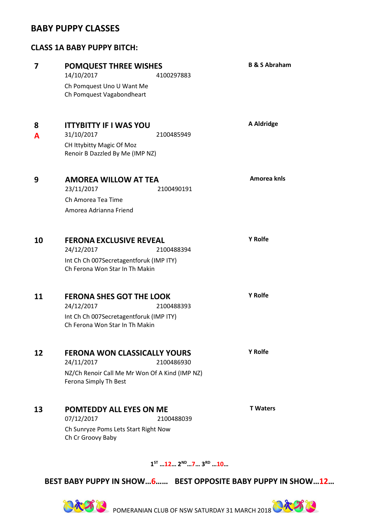#### **BABY PUPPY CLASSES**

#### **CLASS 1A BABY PUPPY BITCH:**

| 7      | <b>POMQUEST THREE WISHES</b><br>14/10/2017<br>4100297883<br>Ch Pomquest Uno U Want Me<br>Ch Pomquest Vagabondheart                         | <b>B &amp; S Abraham</b> |
|--------|--------------------------------------------------------------------------------------------------------------------------------------------|--------------------------|
| 8<br>A | <b>ITTYBITTY IF I WAS YOU</b><br>31/10/2017<br>2100485949<br>CH Ittybitty Magic Of Moz<br>Renoir B Dazzled By Me (IMP NZ)                  | A Aldridge               |
| 9      | <b>AMOREA WILLOW AT TEA</b><br>23/11/2017<br>2100490191<br>Ch Amorea Tea Time<br>Amorea Adrianna Friend                                    | Amorea knls              |
| 10     | <b>FERONA EXCLUSIVE REVEAL</b><br>24/12/2017<br>2100488394<br>Int Ch Ch 007Secretagentforuk (IMP ITY)<br>Ch Ferona Won Star In Th Makin    | <b>Y</b> Rolfe           |
| 11     | <b>FERONA SHES GOT THE LOOK</b><br>24/12/2017<br>2100488393<br>Int Ch Ch 007Secretagentforuk (IMP ITY)<br>Ch Ferona Won Star In Th Makin   | <b>Y</b> Rolfe           |
| 12     | <b>FERONA WON CLASSICALLY YOURS</b><br>24/11/2017<br>2100486930<br>NZ/Ch Renoir Call Me Mr Won Of A Kind (IMP NZ)<br>Ferona Simply Th Best | <b>Y</b> Rolfe           |
| 13     | <b>POMTEDDY ALL EYES ON ME</b><br>07/12/2017<br>2100488039<br>Ch Sunryze Poms Lets Start Right Now<br>Ch Cr Groovy Baby                    | <b>T</b> Waters          |

**1 ST …12… 2ND…7… 3RD …10…**

**BEST BABY PUPPY IN SHOW…6…… BEST OPPOSITE BABY PUPPY IN SHOW…12…**



**POMERANIAN CLUB OF NSW SATURDAY 31 MARCH 2018 CARACH**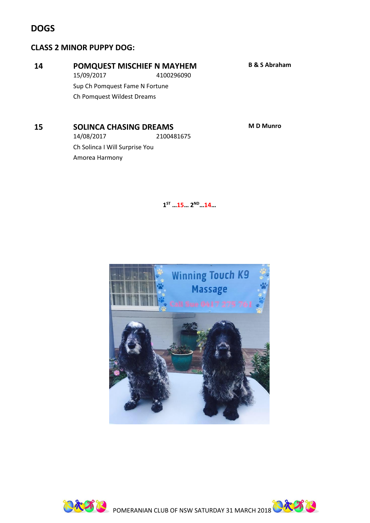#### **DOGS**

#### **CLASS 2 MINOR PUPPY DOG:**

#### **14 POMQUEST MISCHIEF N MAYHEM B & S Abraham**

15/09/2017 4100296090 Sup Ch Pomquest Fame N Fortune

Ch Pomquest Wildest Dreams

**15 SOLINCA CHASING DREAMS M D Munro**

14/08/2017 2100481675 Ch Solinca I Will Surprise You Amorea Harmony

**1 ST …15… 2ND…14…** 





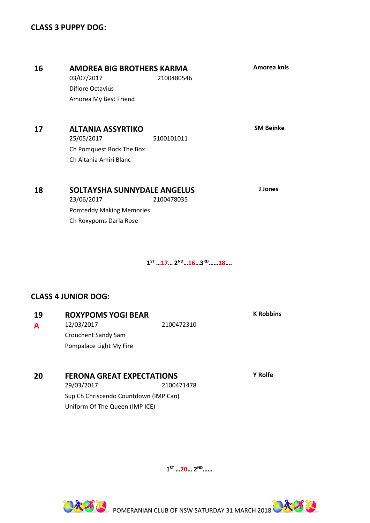#### **17 ALTANIA ASSYRTIKO SM Beinke** 25/05/2017 5100101011 Ch Pomquest Rock The Box Ch Altania Amiri Blanc **18 SOLTAYSHA SUNNYDALE ANGELUS J Jones** 23/06/2017 2100478035 Pomteddy Making Memories Ch Roxypoms Darla Rose **16 AMOREA BIG BROTHERS KARMA Amorea knls** 03/07/2017 2100480546 Difiore Octavius Amorea My Best Friend

**1 ST …17… 2ND…16…3 RD……18….**

#### **CLASS 4 JUNIOR DOG:**

| 19 | <b>ROXYPOMS YOGI BEAR</b> |            | <b>K</b> Robbins |
|----|---------------------------|------------|------------------|
| A  | 12/03/2017                | 2100472310 |                  |
|    | Crouchent Sandy Sam       |            |                  |
|    | Pompalace Light My Fire   |            |                  |
|    |                           |            |                  |
|    |                           |            |                  |

#### **20 FERONA GREAT EXPECTATIONS Y Rolfe**

29/03/2017 2100471478 Sup Ch Chriscendo Countdown (IMP Can) Uniform Of The Queen (IMP ICE)

**1 ST …20… 2ND……** 



**PAA B**POMERANIAN CLUB OF NSW SATURDAY 31 MARCH 2018 **PAA B**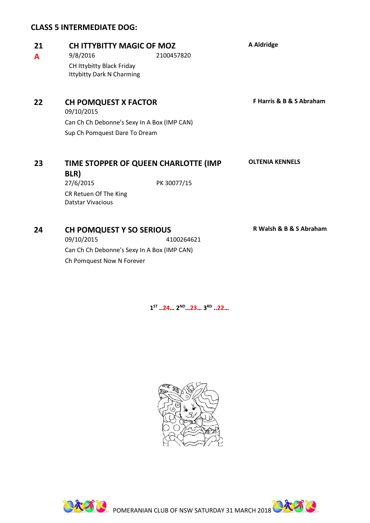#### **CLASS 5 INTERMEDIATE DOG:**

### **21 CH ITTYBITTY MAGIC OF MOZ A Aldridge**

**A** 9/8/2016 2100457820 CH Ittybitty Black Friday Ittybitty Dark N Charming

**22 CH POMQUEST X FACTOR F Harris & B & S Abraham**

09/10/2015 Can Ch Ch Debonne's Sexy In A Box (IMP CAN) Sup Ch Pomquest Dare To Dream

#### **23 TIME STOPPER OF QUEEN CHARLOTTE (IMP**

**BLR)**

27/6/2015 PK 30077/15 CR Retuen Of The King Datstar Vivacious

#### **24 CH POMQUEST Y SO SERIOUS R Walsh & B & S Abraham**

09/10/2015 4100264621 Can Ch Ch Debonne's Sexy In A Box (IMP CAN) Ch Pomquest Now N Forever

**OLTENIA KENNELS**



**1 ST ..24… 2ND…23… 3RD ..22…**

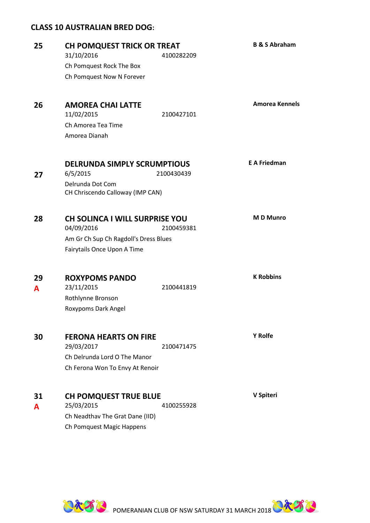#### **CLASS 10 AUSTRALIAN BRED DOG:**

| 25 | CH POMQUEST TRICK OR TREAT                            |            | <b>B &amp; S Abraham</b> |
|----|-------------------------------------------------------|------------|--------------------------|
|    | 31/10/2016                                            | 4100282209 |                          |
|    | Ch Pomquest Rock The Box<br>Ch Pomquest Now N Forever |            |                          |
|    |                                                       |            |                          |
| 26 | <b>AMOREA CHAI LATTE</b><br>11/02/2015                | 2100427101 | <b>Amorea Kennels</b>    |
|    | Ch Amorea Tea Time                                    |            |                          |
|    | Amorea Dianah                                         |            |                          |
|    | <b>DELRUNDA SIMPLY SCRUMPTIOUS</b>                    |            | <b>E A Friedman</b>      |
| 27 | 6/5/2015                                              | 2100430439 |                          |
|    | Delrunda Dot Com<br>CH Chriscendo Calloway (IMP CAN)  |            |                          |
|    |                                                       |            |                          |
| 28 | <b>CH SOLINCA I WILL SURPRISE YOU</b><br>04/09/2016   | 2100459381 | <b>MD Munro</b>          |
|    | Am Gr Ch Sup Ch Ragdoll's Dress Blues                 |            |                          |
|    | Fairytails Once Upon A Time                           |            |                          |
| 29 | <b>ROXYPOMS PANDO</b>                                 |            | <b>K Robbins</b>         |
| A  | 23/11/2015                                            | 2100441819 |                          |
|    | Rothlynne Bronson                                     |            |                          |
|    | Roxypoms Dark Angel                                   |            |                          |
|    |                                                       |            | Y Rolfe                  |
| 30 | <b>FERONA HEARTS ON FIRE</b><br>29/03/2017            | 2100471475 |                          |
|    | Ch Delrunda Lord O The Manor                          |            |                          |
|    | Ch Ferona Won To Envy At Renoir                       |            |                          |
|    |                                                       |            |                          |
| 31 | <b>CH POMQUEST TRUE BLUE</b>                          |            | V Spiteri                |
| A  | 25/03/2015                                            | 4100255928 |                          |
|    | Ch Neadthav The Grat Dane (IID)                       |            |                          |
|    | Ch Pomquest Magic Happens                             |            |                          |
|    |                                                       |            |                          |



**POMERANIAN CLUB OF NSW SATURDAY 31 MARCH 2018 CARA TO**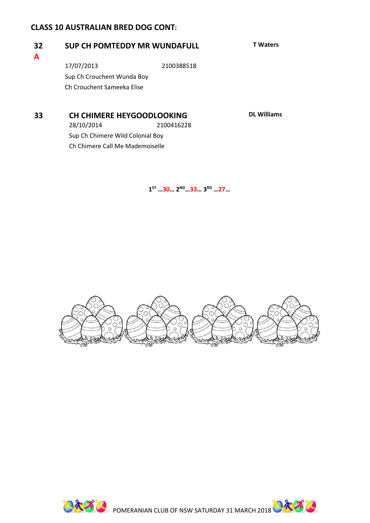#### **CLASS 10 AUSTRALIAN BRED DOG CONT:**

**A**

#### **32 SUP CH POMTEDDY MR WUNDAFULL T Waters**

17/07/2013 2100388518 Sup Ch Crouchent Wunda Boy Ch Crouchent Sameeka Elise

**33 CH CHIMERE HEYGOODLOOKING DL Williams** 28/10/2014 2100416228 Sup Ch Chimere Wild Colonial Boy Ch Chimere Call Me Mademoiselle

**1 ST …30… 2 ND…33… 3RD …27…**



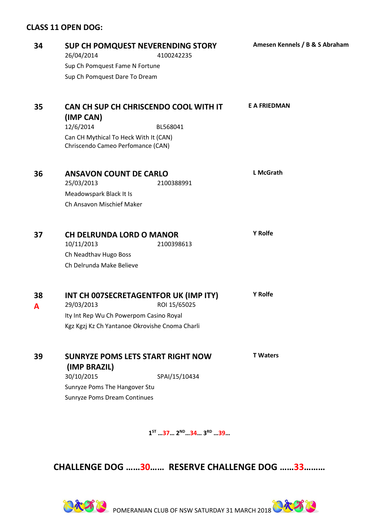#### **CLASS 11 OPEN DOG:**

| 34      | SUP CH POMQUEST NEVERENDING STORY<br>26/04/2014                            | 4100242235    | Amesen Kennels / B & S Abraham |
|---------|----------------------------------------------------------------------------|---------------|--------------------------------|
|         | Sup Ch Pomquest Fame N Fortune                                             |               |                                |
|         | Sup Ch Pomquest Dare To Dream                                              |               |                                |
| 35      | CAN CH SUP CH CHRISCENDO COOL WITH IT                                      |               | <b>E A FRIEDMAN</b>            |
|         | (IMP CAN)<br>12/6/2014                                                     | BL568041      |                                |
|         | Can CH Mythical To Heck With It (CAN)<br>Chriscendo Cameo Perfomance (CAN) |               |                                |
| 36      | <b>ANSAVON COUNT DE CARLO</b><br>25/03/2013                                | 2100388991    | <b>L McGrath</b>               |
|         | Meadowspark Black It Is                                                    |               |                                |
|         | Ch Ansavon Mischief Maker                                                  |               |                                |
| 37      | <b>CH DELRUNDA LORD O MANOR</b>                                            |               | Y Rolfe                        |
|         | 10/11/2013                                                                 | 2100398613    |                                |
|         | Ch Neadthav Hugo Boss                                                      |               |                                |
|         | Ch Delrunda Make Believe                                                   |               |                                |
| 38<br>A | INT CH 007SECRETAGENTFOR UK (IMP ITY)<br>29/03/2013                        | ROI 15/65025  | Y Rolfe                        |
|         | Ity Int Rep Wu Ch Powerpom Casino Royal                                    |               |                                |
|         | Kgz Kgzj Kz Ch Yantanoe Okrovishe Cnoma Charli                             |               |                                |
| 39      | <b>SUNRYZE POMS LETS START RIGHT NOW</b>                                   |               | <b>T</b> Waters                |
|         | (IMP BRAZIL)<br>30/10/2015                                                 | SPAI/15/10434 |                                |
|         | Sunryze Poms The Hangover Stu                                              |               |                                |
|         | <b>Sunryze Poms Dream Continues</b>                                        |               |                                |
|         |                                                                            |               |                                |
|         |                                                                            |               |                                |

**1 ST …37… 2ND…34… 3RD …39…**

**CHALLENGE DOG ……30…… RESERVE CHALLENGE DOG ……33………**

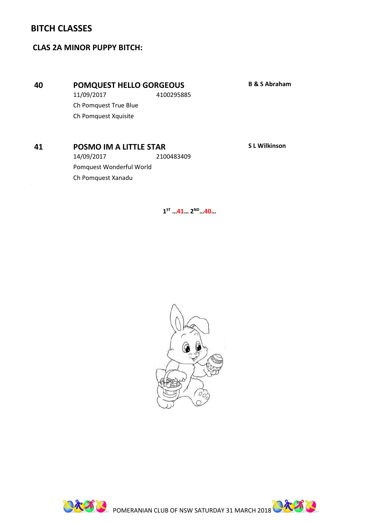#### **BITCH CLASSES**

#### **CLAS 2A MINOR PUPPY BITCH:**

#### **40 POMQUEST HELLO GORGEOUS B & S Abraham**

11/09/2017 4100295885 Ch Pomquest True Blue Ch Pomquest Xquisite

#### **41 POSMO IM A LITTLE STAR S L Wilkinson**

14/09/2017 2100483409 Pomquest Wonderful World Ch Pomquest Xanadu





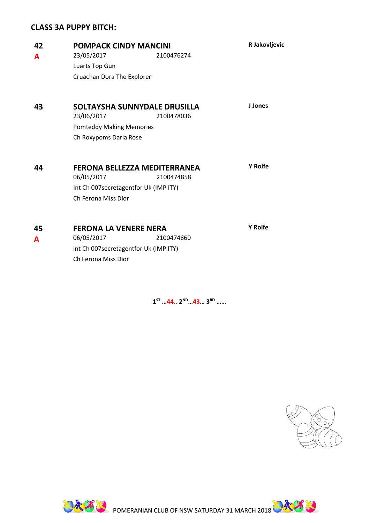#### **CLASS 3A PUPPY BITCH:**

| 42<br>A | <b>POMPACK CINDY MANCINI</b><br>23/05/2017<br>2100476274<br>Luarts Top Gun<br>Cruachan Dora The Explorer                        | R Jakovljevic  |
|---------|---------------------------------------------------------------------------------------------------------------------------------|----------------|
| 43      | SOLTAYSHA SUNNYDALE DRUSILLA<br>23/06/2017<br>2100478036<br><b>Pomteddy Making Memories</b><br>Ch Roxypoms Darla Rose           | J Jones        |
| 44      | <b>FERONA BELLEZZA MEDITERRANEA</b><br>06/05/2017<br>2100474858<br>Int Ch 007secretagentfor Uk (IMP ITY)<br>Ch Ferona Miss Dior | <b>Y</b> Rolfe |
| 45<br>A | <b>FERONA LA VENERE NERA</b><br>06/05/2017<br>2100474860<br>Int Ch 007secretagentfor Uk (IMP ITY)<br>Ch Ferona Miss Dior        | <b>Y</b> Rolfe |

**1 ST …44.. 2 ND…43… 3RD ……**





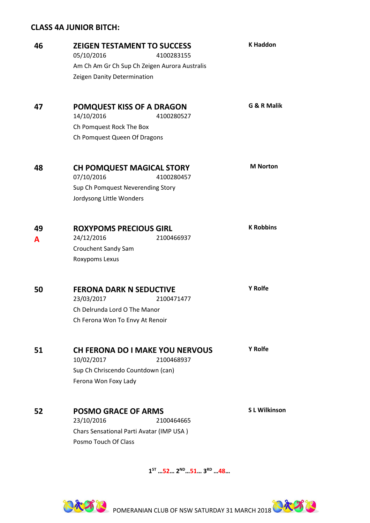#### **CLASS 4A JUNIOR BITCH:**

| 46 | <b>ZEIGEN TESTAMENT TO SUCCESS</b><br>05/10/2016<br>4100283155   | <b>K Haddon</b>     |
|----|------------------------------------------------------------------|---------------------|
|    | Am Ch Am Gr Ch Sup Ch Zeigen Aurora Australis                    |                     |
|    | Zeigen Danity Determination                                      |                     |
|    |                                                                  | G & R Malik         |
| 47 | <b>POMQUEST KISS OF A DRAGON</b><br>14/10/2016<br>4100280527     |                     |
|    | Ch Pomquest Rock The Box                                         |                     |
|    | Ch Pomquest Queen Of Dragons                                     |                     |
| 48 | <b>CH POMQUEST MAGICAL STORY</b>                                 | <b>M</b> Norton     |
|    | 07/10/2016<br>4100280457                                         |                     |
|    | Sup Ch Pomquest Neverending Story                                |                     |
|    | Jordysong Little Wonders                                         |                     |
| 49 | <b>ROXYPOMS PRECIOUS GIRL</b>                                    | <b>K Robbins</b>    |
| A  | 24/12/2016<br>2100466937                                         |                     |
|    | Crouchent Sandy Sam                                              |                     |
|    | Roxypoms Lexus                                                   |                     |
| 50 | <b>FERONA DARK N SEDUCTIVE</b>                                   | <b>Y Rolfe</b>      |
|    | 23/03/2017<br>2100471477                                         |                     |
|    | Ch Delrunda Lord O The Manor                                     |                     |
|    | Ch Ferona Won To Envy At Renoir                                  |                     |
| 51 | <b>CH FERONA DO I MAKE YOU NERVOUS</b>                           | <b>Y</b> Rolfe      |
|    | 10/02/2017<br>2100468937                                         |                     |
|    | Sup Ch Chriscendo Countdown (can)                                |                     |
|    | Ferona Won Foxy Lady                                             |                     |
| 52 | <b>POSMO GRACE OF ARMS</b>                                       | <b>SL Wilkinson</b> |
|    | 23/10/2016<br>2100464665                                         |                     |
|    | Chars Sensational Parti Avatar (IMP USA)<br>Posmo Touch Of Class |                     |
|    |                                                                  |                     |

**1 ST …52… 2ND…51… 3RD …48…**



**PART B**POMERANIAN CLUB OF NSW SATURDAY 31 MARCH 2018 **PART B**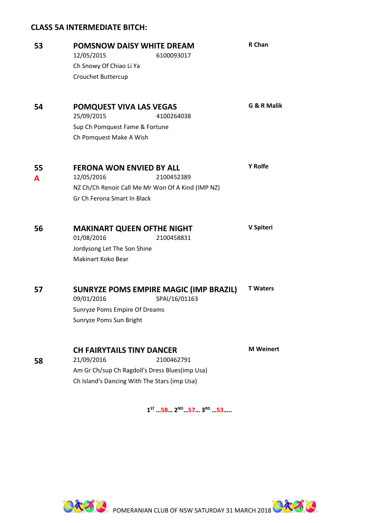#### **CLASS 5A INTERMEDIATE BITCH:**

| 53 | <b>POMSNOW DAISY WHITE DREAM</b><br>12/05/2015<br>6100093017                                   |                                        | R Chan           |  |
|----|------------------------------------------------------------------------------------------------|----------------------------------------|------------------|--|
|    | Ch Snowy Of Chiao Li Ya                                                                        |                                        |                  |  |
|    | Crouchet Buttercup                                                                             |                                        |                  |  |
| 54 | POMQUEST VIVA LAS VEGAS<br>25/09/2015                                                          | 4100264038                             | G & R Malik      |  |
|    | Sup Ch Pomquest Fame & Fortune                                                                 |                                        |                  |  |
|    | Ch Pomquest Make A Wish                                                                        |                                        |                  |  |
| 55 | <b>FERONA WON ENVIED BY ALL</b>                                                                |                                        | <b>Y</b> Rolfe   |  |
| A  | 12/05/2016                                                                                     | 2100452389                             |                  |  |
|    | NZ Ch/Ch Renoir Call Me Mr Won Of A Kind (IMP NZ)                                              |                                        |                  |  |
|    | Gr Ch Ferona Smart In Black                                                                    |                                        |                  |  |
| 56 | <b>MAKINART QUEEN OFTHE NIGHT</b><br>01/08/2016                                                | 2100458831                             | V Spiteri        |  |
|    | Jordysong Let The Son Shine                                                                    |                                        |                  |  |
|    | Makinart Koko Bear                                                                             |                                        |                  |  |
| 57 |                                                                                                | SUNRYZE POMS EMPIRE MAGIC (IMP BRAZIL) | <b>T</b> Waters  |  |
|    | 09/01/2016                                                                                     | SPAI/16/01163                          |                  |  |
|    | Sunryze Poms Empire Of Dreams                                                                  |                                        |                  |  |
|    | Sunryze Poms Sun Bright                                                                        |                                        |                  |  |
|    | <b>CH FAIRYTAILS TINY DANCER</b>                                                               |                                        | <b>M</b> Weinert |  |
| 58 | 21/09/2016                                                                                     | 2100462791                             |                  |  |
|    | Am Gr Ch/sup Ch Ragdoll's Dress Blues(imp Usa)<br>Ch Island's Dancing With The Stars (imp Usa) |                                        |                  |  |
|    |                                                                                                |                                        |                  |  |

**1 ST …58… 2ND…57… 3 RD …53…..**



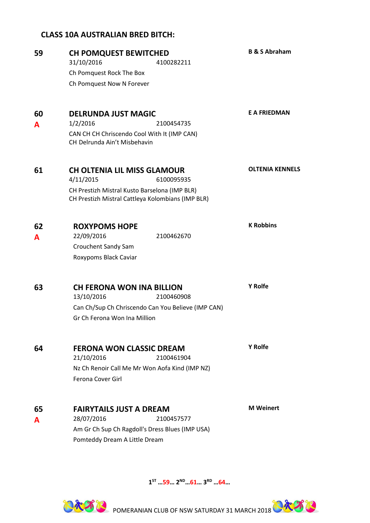#### **CLASS 10A AUSTRALIAN BRED BITCH:**

| 59 | <b>CH POMQUEST BEWITCHED</b>                                                                       | <b>B &amp; S Abraham</b> |
|----|----------------------------------------------------------------------------------------------------|--------------------------|
|    | 31/10/2016<br>4100282211                                                                           |                          |
|    | Ch Pomquest Rock The Box                                                                           |                          |
|    | Ch Pomquest Now N Forever                                                                          |                          |
| 60 | <b>DELRUNDA JUST MAGIC</b>                                                                         | <b>E A FRIEDMAN</b>      |
| A  | 1/2/2016<br>2100454735                                                                             |                          |
|    | CAN CH CH Chriscendo Cool With It (IMP CAN)<br>CH Delrunda Ain't Misbehavin                        |                          |
| 61 | <b>CH OLTENIA LIL MISS GLAMOUR</b>                                                                 | <b>OLTENIA KENNELS</b>   |
|    | 4/11/2015<br>6100095935                                                                            |                          |
|    | CH Prestizh Mistral Kusto Barselona (IMP BLR)<br>CH Prestizh Mistral Cattleya Kolombians (IMP BLR) |                          |
| 62 | <b>ROXYPOMS HOPE</b>                                                                               | <b>K Robbins</b>         |
| A  | 22/09/2016<br>2100462670                                                                           |                          |
|    | Crouchent Sandy Sam                                                                                |                          |
|    | Roxypoms Black Caviar                                                                              |                          |
| 63 | <b>CH FERONA WON INA BILLION</b><br>13/10/2016<br>2100460908                                       | Y Rolfe                  |
|    | Can Ch/Sup Ch Chriscendo Can You Believe (IMP CAN)                                                 |                          |
|    | Gr Ch Ferona Won Ina Million                                                                       |                          |
| 64 | <b>FERONA WON CLASSIC DREAM</b>                                                                    | <b>Y</b> Rolfe           |
|    | 21/10/2016<br>2100461904                                                                           |                          |
|    | Nz Ch Renoir Call Me Mr Won Aofa Kind (IMP NZ)                                                     |                          |
|    | Ferona Cover Girl                                                                                  |                          |
| 65 | <b>FAIRYTAILS JUST A DREAM</b>                                                                     | <b>M</b> Weinert         |
| A  | 28/07/2016<br>2100457577                                                                           |                          |
|    | Am Gr Ch Sup Ch Ragdoll's Dress Blues (IMP USA)                                                    |                          |
|    | Pomteddy Dream A Little Dream                                                                      |                          |

**1 ST …59… 2ND…61… 3RD …64…**



**PART REPORT AND ARREST OF NSW SATURDAY 31 MARCH 2018 ARRIVERS**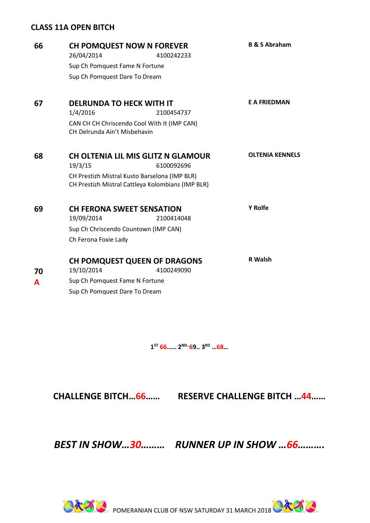#### **CLASS 11A OPEN BITCH**

| 66 | <b>CH POMQUEST NOW N FOREVER</b><br>26/04/2014                                                     | 4100242233                                | <b>B &amp; S Abraham</b> |
|----|----------------------------------------------------------------------------------------------------|-------------------------------------------|--------------------------|
|    | Sup Ch Pomquest Fame N Fortune                                                                     |                                           |                          |
|    | Sup Ch Pomquest Dare To Dream                                                                      |                                           |                          |
| 67 | <b>DELRUNDA TO HECK WITH IT</b>                                                                    |                                           | <b>E A FRIEDMAN</b>      |
|    | 1/4/2016                                                                                           | 2100454737                                |                          |
|    | CAN CH CH Chriscendo Cool With It (IMP CAN)<br>CH Delrunda Ain't Misbehavin                        |                                           |                          |
| 68 |                                                                                                    | <b>CH OLTENIA LIL MIS GLITZ N GLAMOUR</b> | <b>OLTENIA KENNELS</b>   |
|    | 19/3/15                                                                                            | 6100092696                                |                          |
|    | CH Prestizh Mistral Kusto Barselona (IMP BLR)<br>CH Prestizh Mistral Cattleya Kolombians (IMP BLR) |                                           |                          |
|    |                                                                                                    |                                           |                          |
| 69 | <b>CH FERONA SWEET SENSATION</b>                                                                   |                                           | <b>Y Rolfe</b>           |
|    | 19/09/2014                                                                                         | 2100414048                                |                          |
|    | Sup Ch Chriscendo Countown (IMP CAN)                                                               |                                           |                          |
|    | Ch Ferona Foxie Lady                                                                               |                                           |                          |
|    | <b>CH POMQUEST QUEEN OF DRAGONS</b>                                                                |                                           | R Walsh                  |
| 70 | 19/10/2014                                                                                         | 4100249090                                |                          |
| A  | Sup Ch Pomquest Fame N Fortune                                                                     |                                           |                          |
|    | Sup Ch Pomquest Dare To Dream                                                                      |                                           |                          |
|    |                                                                                                    |                                           |                          |

**1 ST 66…… 2ND..69.. 3 RD …68…**

**CHALLENGE BITCH…66…… RESERVE CHALLENGE BITCH …44……**

*BEST IN SHOW…30……… RUNNER UP IN SHOW …66……….*



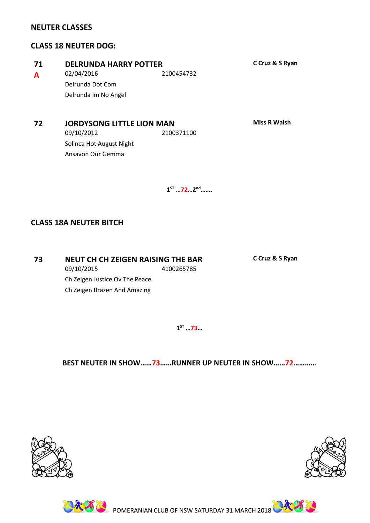#### **NEUTER CLASSES**

#### **CLASS 18 NEUTER DOG:**

| -71 | <b>DELRUNDA HARRY POTTER</b> |            |
|-----|------------------------------|------------|
| A   | 02/04/2016                   | 2100454732 |
|     | Delrunda Dot Com             |            |
|     | Delrunda Im No Angel         |            |
|     |                              |            |

#### **72 JORDYSONG LITTLE LION MAN Miss R Walsh**

09/10/2012 2100371100 Solinca Hot August Night Ansavon Our Gemma

**71 DELRUNDA HARRY POTTER C Cruz & S Ryan**

**1 ST …72…2 nd…….** 

#### **CLASS 18A NEUTER BITCH**

**73 NEUT CH CH ZEIGEN RAISING THE BAR C Cruz & S Ryan** 09/10/2015 4100265785 Ch Zeigen Justice Ov The Peace Ch Zeigen Brazen And Amazing

#### **BEST NEUTER IN SHOW……73……RUNNER UP NEUTER IN SHOW……72…………**

**1 ST …73…**







**POMERANIAN CLUB OF NSW SATURDAY 31 MARCH 2018**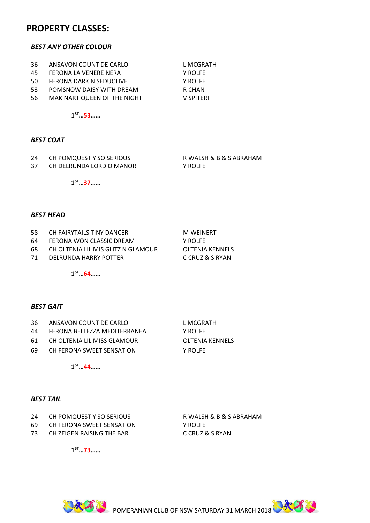#### **PROPERTY CLASSES:**

#### *BEST ANY OTHER COLOUR*

- 36 ANSAVON COUNT DE CARLO LANGERATH
- 45 FERONA LA VENERE NERA Y ROLFE
- 50 FERONA DARK N SEDUCTIVE Y ROLFE
- 53 POMSNOW DAISY WITH DREAM R CHAN
- 56 MAKINART QUEEN OF THE NIGHT V SPITERI

**1 ST…53……**

#### *BEST COAT*

- 24 CH POMQUEST Y SO SERIOUS R WALSH & B & S ABRAHAM
- 37 CH DELRUNDA LORD O MANOR Y ROLFE

**1 ST…37……**

#### *BEST HEAD*

- 58 CH FAIRYTAILS TINY DANCER MINIMUM M WEINERT
- 64 FERONA WON CLASSIC DREAM Y ROLFE
- 68 CH OLTENIA LIL MIS GLITZ N GLAMOUR OLTENIA KENNELS
- 71 DELRUNDA HARRY POTTER C CRUZ & S RYAN

**1 ST…64……**

#### *BEST GAIT*

- 36 ANSAVON COUNT DE CARLO LANGERATH
- 44 FERONA BELLEZZA MEDITERRANEA Y ROLFE
- 61 CH OLTENIA LIL MISS GLAMOUR OLTENIA KENNELS
- 69 CH FERONA SWEET SENSATION Y ROLFE

**1 ST…44……**

#### *BEST TAIL*

- 24 CH POMQUEST Y SO SERIOUS R WALSH & B & S ABRAHAM
- 69 CH FERONA SWEET SENSATION Y ROLFE
- 73 CH ZEIGEN RAISING THE BAR C CRUZ & S RYAN

**1 ST…73……**



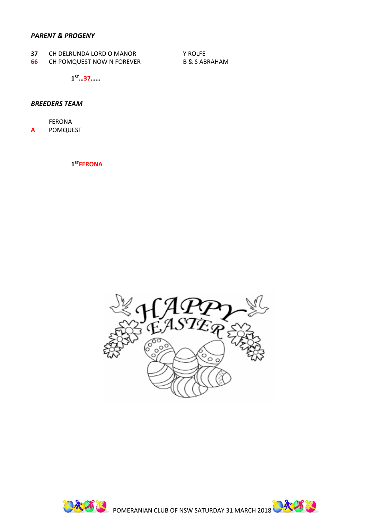#### *PARENT & PROGENY*

- **37** CH DELRUNDA LORD O MANOR Y ROLFE
- **66** CH POMQUEST NOW N FOREVER B & S ABRAHAM

**1 ST…37……**

#### *BREEDERS TEAM*

FERONA **A** POMQUEST

#### **1 STFERONA**



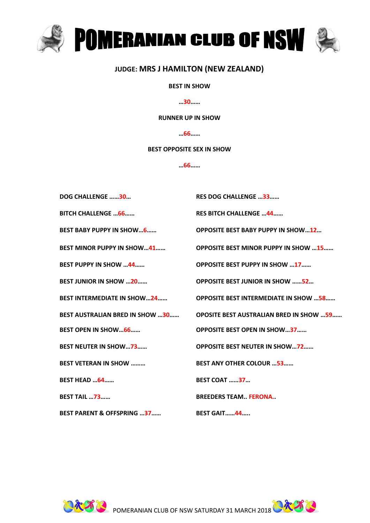

#### **JUDGE: MRS J HAMILTON (NEW ZEALAND)**

#### **BEST IN SHOW**

**…30……**

#### **RUNNER UP IN SHOW**

**…66……**

#### **BEST OPPOSITE SEX IN SHOW**

**…66……**

| <b>DOG CHALLENGE 30</b>                | <b>RES DOG CHALLENGE 33</b>                     |
|----------------------------------------|-------------------------------------------------|
| <b>BITCH CHALLENGE 66</b>              | <b>RES BITCH CHALLENGE  44</b>                  |
| <b>BEST BABY PUPPY IN SHOW6</b>        | <b>OPPOSITE BEST BABY PUPPY IN SHOW12</b>       |
| BEST MINOR PUPPY IN SHOW41             | <b>OPPOSITE BEST MINOR PUPPY IN SHOW 15</b>     |
| <b>BEST PUPPY IN SHOW 44</b>           | <b>OPPOSITE BEST PUPPY IN SHOW 17</b>           |
| <b>BEST JUNIOR IN SHOW 20</b>          | <b>OPPOSITE BEST JUNIOR IN SHOW 52</b>          |
| <b>BEST INTERMEDIATE IN SHOW24</b>     | <b>OPPOSITE BEST INTERMEDIATE IN SHOW 58</b>    |
| <b>BEST AUSTRALIAN BRED IN SHOW 30</b> | <b>OPOSITE BEST AUSTRALIAN BRED IN SHOW  59</b> |
| <b>BEST OPEN IN SHOW66</b>             | <b>OPPOSITE BEST OPEN IN SHOW37</b>             |
| <b>BEST NEUTER IN SHOW73</b>           | <b>OPPOSITE BEST NEUTER IN SHOW72</b>           |
| <b>BEST VETERAN IN SHOW </b>           | <b>BEST ANY OTHER COLOUR 53</b>                 |
| <b>BEST HEAD 64</b>                    | <b>BEST COAT 37</b>                             |
| <b>BEST TAIL  73</b>                   | <b>BREEDERS TEAM. FERONA.</b>                   |
| <b>BEST PARENT &amp; OFFSPRING 37</b>  | <b>BEST GAIT44</b>                              |

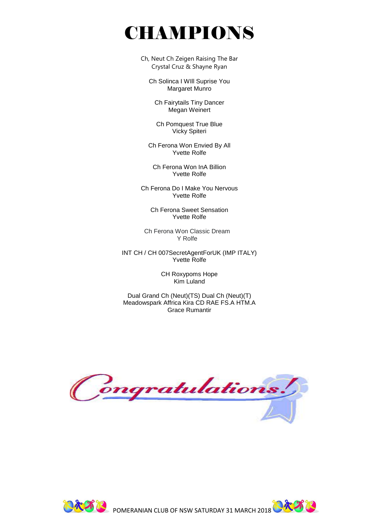## CHAMPIONS

Ch, Neut Ch Zeigen Raising The Bar Crystal Cruz & Shayne Ryan

Ch Solinca I WIll Suprise You Margaret Munro

Ch Fairytails Tiny Dancer Megan Weinert

Ch Pomquest True Blue Vicky Spiteri

Ch Ferona Won Envied By All Yvette Rolfe

Ch Ferona Won InA Billion Yvette Rolfe

Ch Ferona Do I Make You Nervous Yvette Rolfe

Ch Ferona Sweet Sensation Yvette Rolfe

Ch Ferona Won Classic Dream Y Rolfe

INT CH / CH 007SecretAgentForUK (IMP ITALY) Yvette Rolfe

> CH Roxypoms Hope Kim Luland

Dual Grand Ch (Neut)(TS) Dual Ch (Neut)(T) Meadowspark Affrica Kira CD RAE FS.A HTM.A Grace Rumantir